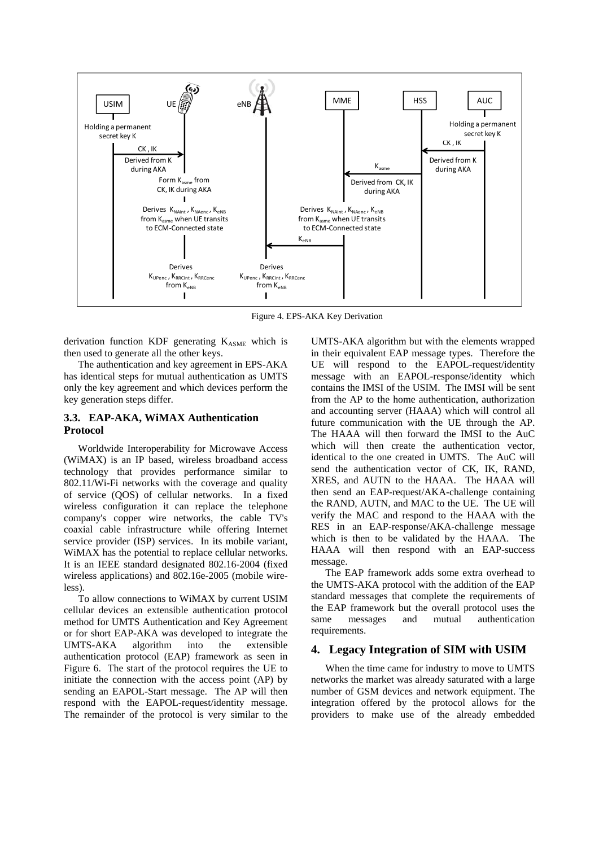

Figure 4. EPS-AKA Key Derivation

derivation function KDF generating  $K_{ASME}$  which is then used to generate all the other keys.

The authentication and key agreement in EPS-AKA has identical steps for mutual authentication as UMTS only the key agreement and which devices perform the key generation steps differ.

# **3.3. EAP-AKA, WiMAX Authentication Protocol**

Worldwide Interoperability for Microwave Access (WiMAX) is an IP based, wireless broadband access technology that provides performance similar to 802.11/Wi-Fi networks with the coverage and quality of service (QOS) of cellular networks. In a fixed wireless configuration it can replace the telephone company's copper wire networks, the cable TV's coaxial cable infrastructure while offering Internet service provider (ISP) services. In its mobile variant, WiMAX has the potential to replace cellular networks. It is an IEEE standard designated 802.16-2004 (fixed wireless applications) and 802.16e-2005 (mobile wireless).

To allow connections to WiMAX by current USIM cellular devices an extensible authentication protocol method for UMTS Authentication and Key Agreement or for short EAP-AKA was developed to integrate the UMTS-AKA algorithm into the extensible authentication protocol (EAP) framework as seen in Figure 6. The start of the protocol requires the UE to initiate the connection with the access point (AP) by sending an EAPOL-Start message. The AP will then respond with the EAPOL-request/identity message. The remainder of the protocol is very similar to the

UMTS-AKA algorithm but with the elements wrapped in their equivalent EAP message types. Therefore the UE will respond to the EAPOL-request/identity message with an EAPOL-response/identity which contains the IMSI of the USIM. The IMSI will be sent from the AP to the home authentication, authorization and accounting server (HAAA) which will control all future communication with the UE through the AP. The HAAA will then forward the IMSI to the AuC which will then create the authentication vector, identical to the one created in UMTS. The AuC will send the authentication vector of CK, IK, RAND, XRES, and AUTN to the HAAA. The HAAA will then send an EAP-request/AKA-challenge containing the RAND, AUTN, and MAC to the UE. The UE will verify the MAC and respond to the HAAA with the RES in an EAP-response/AKA-challenge message which is then to be validated by the HAAA. The HAAA will then respond with an EAP-success message.

The EAP framework adds some extra overhead to the UMTS-AKA protocol with the addition of the EAP standard messages that complete the requirements of the EAP framework but the overall protocol uses the same messages and mutual authentication requirements.

## **4. Legacy Integration of SIM with USIM**

When the time came for industry to move to UMTS networks the market was already saturated with a large number of GSM devices and network equipment. The integration offered by the protocol allows for the providers to make use of the already embedded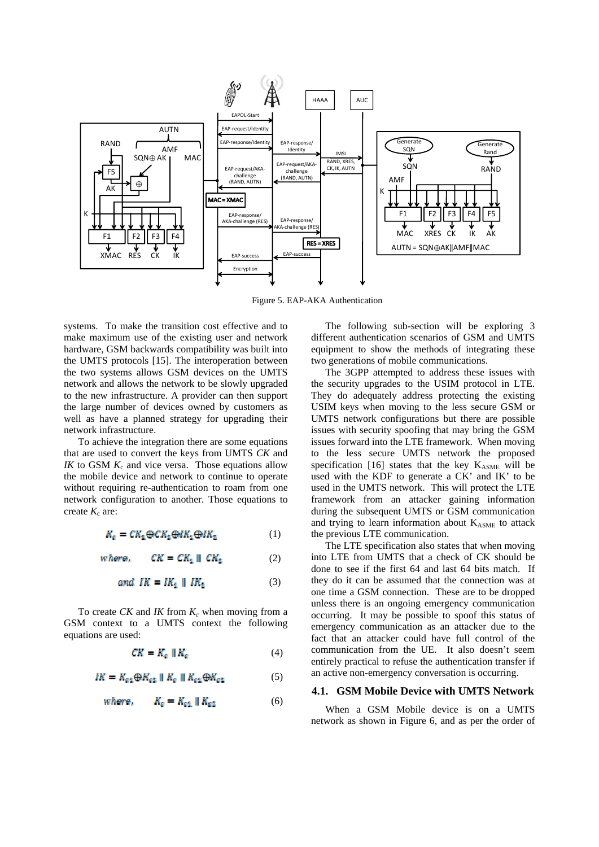

Figure 5. EAP-AKA Authentication

systems. To make the transition cost effective and to make maximum use of the existing user and network hardware, GSM backwards compatibility was built into the UMTS protocols [15]. The interoperation between the two systems allows GSM devices on the UMTS network and allows the network to be slowly upgraded to the new infrastructure. A provider can then support the large number of devices owned by customers as well as have a planned strategy for upgrading their network infrastructure.

To achieve the integration there are some equations that are used to convert the keys from UMTS *CK* and *IK* to GSM  $K_c$  and vice versa. Those equations allow the mobile device and network to continue to operate without requiring re-authentication to roam from one network configuration to another. Those equations to create  $K_c$  are:

$$
K_{\rm e} = C K_1 \oplus C K_2 \oplus I K_1 \oplus I K_2 \tag{1}
$$

$$
where, \qquad CK = CK_1 \parallel CK_2 \tag{2}
$$

$$
and \tIK = IK_1 \parallel IK_2 \t(3)
$$

To create  $CK$  and  $IK$  from  $K_c$  when moving from a GSM context to a UMTS context the following equations are used:

y

$$
CK = K_{\alpha} \parallel K_{\alpha} \tag{4}
$$

$$
IK = K_{a1} \oplus K_{a2} \parallel K_{a} \parallel K_{a1} \oplus K_{a2} \tag{5}
$$

where, 
$$
K_{\rm g} = K_{\rm g1} || K_{\rm g2}
$$
 (6)

The following sub-section will be exploring 3 different authentication scenarios of GSM and UMTS equipment to show the methods of integrating these two generations of mobile communications.

The 3GPP attempted to address these issues with the security upgrades to the USIM protocol in LTE. They do adequately address protecting the existing USIM keys when moving to the less secure GSM or UMTS network configurations but there are possible issues with security spoofing that may bring the GSM issues forward into the LTE framework. When moving to the less secure UMTS network the proposed specification [16] states that the key  $K_{ASME}$  will be used with the KDF to generate a CK' and IK' to be used in the UMTS network. This will protect the LTE framework from an attacker gaining information during the subsequent UMTS or GSM communication and trying to learn information about  $K_{ASME}$  to attack the previous LTE communication.

The LTE specification also states that when moving into LTE from UMTS that a check of CK should be done to see if the first 64 and last 64 bits match. If they do it can be assumed that the connection was at one time a GSM connection. These are to be dropped unless there is an ongoing emergency communication occurring. It may be possible to spoof this status of emergency communication as an attacker due to the fact that an attacker could have full control of the communication from the UE. It also doesn't seem entirely practical to refuse the authentication transfer if an active non-emergency conversation is occurring.

## **4.1. GSM Mobile Device with UMTS Network**

When a GSM Mobile device is on a UMTS network as shown in Figure 6, and as per the order of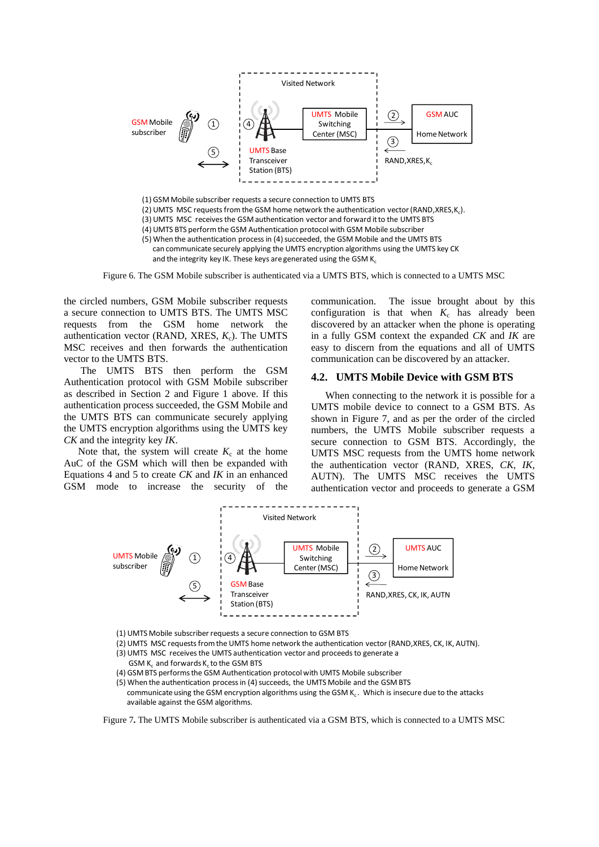

Figure 6. The GSM Mobile subscriber is authenticated via a UMTS BTS, which is connected to a UMTS MSC

the circled numbers, GSM Mobile subscriber requests a secure connection to UMTS BTS. The UMTS MSC requests from the GSM home network the authentication vector (RAND, XRES,  $K_c$ ). The UMTS MSC receives and then forwards the authentication vector to the UMTS BTS.

 The UMTS BTS then perform the GSM Authentication protocol with GSM Mobile subscriber as described in Section 2 and Figure 1 above. If this authentication process succeeded, the GSM Mobile and the UMTS BTS can communicate securely applying the UMTS encryption algorithms using the UMTS key *CK* and the integrity key *IK*.

Note that, the system will create  $K_c$  at the home AuC of the GSM which will then be expanded with Equations 4 and 5 to create *CK* and *IK* in an enhanced GSM mode to increase the security of the communication. The issue brought about by this configuration is that when  $K_c$  has already been discovered by an attacker when the phone is operating in a fully GSM context the expanded *CK* and *IK* are easy to discern from the equations and all of UMTS communication can be discovered by an attacker.

#### **4.2. UMTS Mobile Device with GSM BTS**

When connecting to the network it is possible for a UMTS mobile device to connect to a GSM BTS. As shown in Figure 7, and as per the order of the circled numbers, the UMTS Mobile subscriber requests a secure connection to GSM BTS. Accordingly, the UMTS MSC requests from the UMTS home network the authentication vector (RAND, XRES, *CK*, *IK*, AUTN). The UMTS MSC receives the UMTS authentication vector and proceeds to generate a GSM



- (1) UMTS Mobile subscriber requests a secure connection to GSM BTS
- (2) UMTS MSC requestsfromthe UMTS home network the authentication vector (RAND,XRES, CK, IK, AUTN).
- (3) UMTS MSC receives the UMTS authentication vector and proceeds to generate a GSM  $K_c$  and forwards  $K_c$  to the GSM BTS
- (4) GSMBTS performsthe GSM Authentication protocolwith UMTS Mobile subscriber
- (5) When the authentication process in (4) succeeds, the UMTS Mobile and the GSM BTS

Figure 7**.** The UMTS Mobile subscriber is authenticated via a GSM BTS, which is connected to a UMTS MSC

communicate using the GSM encryption algorithms using the GSM K<sub>c</sub>. Which is insecure due to the attacks available against the GSM algorithms.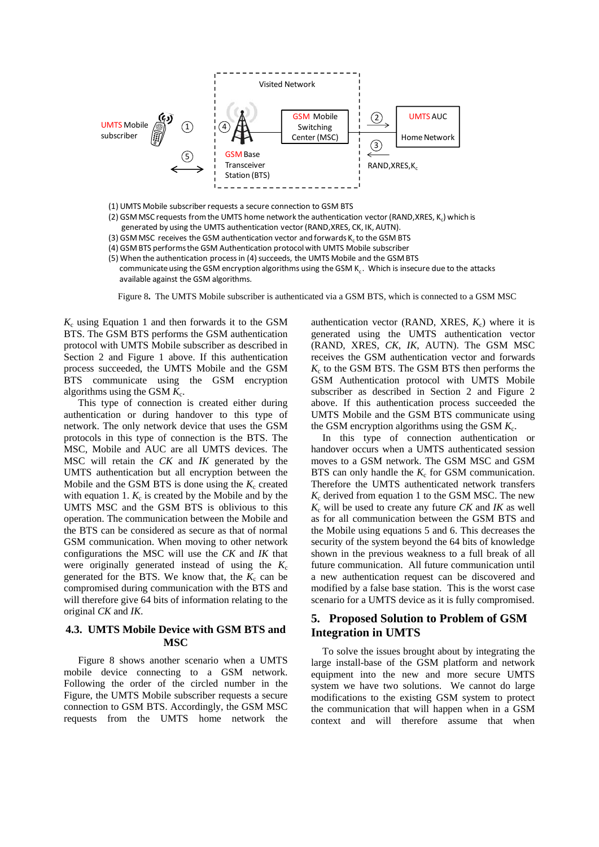

(1) UMTS Mobile subscriber requests a secure connection to GSM BTS

- (2) GSM MSC requests from the UMTS home network the authentication vector (RAND, XRES, K.) which is
- generated by using the UMTS authentication vector (RAND,XRES, CK, IK, AUTN).
- (3) GSM MSC receives the GSM authentication vector and forwards K<sub>c</sub> to the GSM BTS
- (4) GSM BTS performsthe GSM Authentication protocolwith UMTS Mobile subscriber
- (5) When the authentication process in (4) succeeds, the UMTS Mobile and the GSM BTS communicate using the GSM encryption algorithms using the GSM  $K_c$ . Which is insecure due to the attacks available against the GSM algorithms.

Figure 8**.** The UMTS Mobile subscriber is authenticated via a GSM BTS, which is connected to a GSM MSC

 $K_c$  using Equation 1 and then forwards it to the GSM BTS. The GSM BTS performs the GSM authentication protocol with UMTS Mobile subscriber as described in Section 2 and Figure 1 above. If this authentication process succeeded, the UMTS Mobile and the GSM BTS communicate using the GSM encryption algorithms using the GSM  $K_c$ .

This type of connection is created either during authentication or during handover to this type of network. The only network device that uses the GSM protocols in this type of connection is the BTS. The MSC, Mobile and AUC are all UMTS devices. The MSC will retain the *CK* and *IK* generated by the UMTS authentication but all encryption between the Mobile and the GSM BTS is done using the  $K_c$  created with equation 1.  $K_c$  is created by the Mobile and by the UMTS MSC and the GSM BTS is oblivious to this operation. The communication between the Mobile and the BTS can be considered as secure as that of normal GSM communication. When moving to other network configurations the MSC will use the *CK* and *IK* that were originally generated instead of using the  $K_c$ generated for the BTS. We know that, the  $K_c$  can be compromised during communication with the BTS and will therefore give 64 bits of information relating to the original *CK* and *IK*.

# **4.3. UMTS Mobile Device with GSM BTS and MSC**

Figure 8 shows another scenario when a UMTS mobile device connecting to a GSM network. Following the order of the circled number in the Figure, the UMTS Mobile subscriber requests a secure connection to GSM BTS. Accordingly, the GSM MSC requests from the UMTS home network the

authentication vector (RAND, XRES,  $K_c$ ) where it is generated using the UMTS authentication vector (RAND, XRES, *CK*, *IK*, AUTN). The GSM MSC receives the GSM authentication vector and forwards  $K<sub>c</sub>$  to the GSM BTS. The GSM BTS then performs the GSM Authentication protocol with UMTS Mobile subscriber as described in Section 2 and Figure 2 above. If this authentication process succeeded the UMTS Mobile and the GSM BTS communicate using the GSM encryption algorithms using the GSM  $K_c$ .

In this type of connection authentication or handover occurs when a UMTS authenticated session moves to a GSM network. The GSM MSC and GSM BTS can only handle the  $K_c$  for GSM communication. Therefore the UMTS authenticated network transfers  $K_c$  derived from equation 1 to the GSM MSC. The new  $K_c$  will be used to create any future *CK* and *IK* as well as for all communication between the GSM BTS and the Mobile using equations 5 and 6. This decreases the security of the system beyond the 64 bits of knowledge shown in the previous weakness to a full break of all future communication. All future communication until a new authentication request can be discovered and modified by a false base station. This is the worst case scenario for a UMTS device as it is fully compromised.

# **5. Proposed Solution to Problem of GSM Integration in UMTS**

To solve the issues brought about by integrating the large install-base of the GSM platform and network equipment into the new and more secure UMTS system we have two solutions. We cannot do large modifications to the existing GSM system to protect the communication that will happen when in a GSM context and will therefore assume that when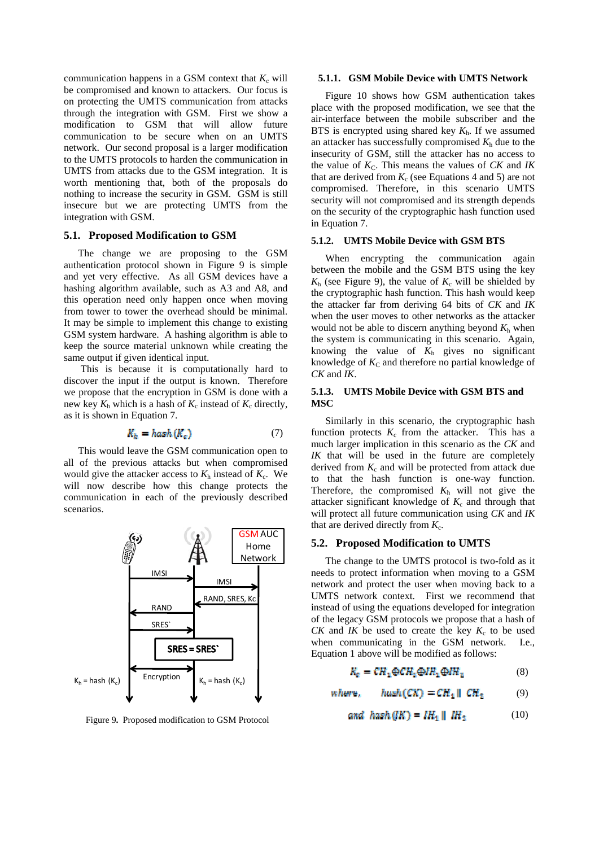communication happens in a GSM context that  $K_c$  will be compromised and known to attackers. Our focus is on protecting the UMTS communication from attacks through the integration with GSM. First we show a modification to GSM that will allow future communication to be secure when on an UMTS network. Our second proposal is a larger modification to the UMTS protocols to harden the communication in UMTS from attacks due to the GSM integration. It is worth mentioning that, both of the proposals do nothing to increase the security in GSM. GSM is still insecure but we are protecting UMTS from the integration with GSM.

## **5.1. Proposed Modification to GSM**

The change we are proposing to the GSM authentication protocol shown in Figure 9 is simple and yet very effective. As all GSM devices have a hashing algorithm available, such as A3 and A8, and this operation need only happen once when moving from tower to tower the overhead should be minimal. It may be simple to implement this change to existing GSM system hardware. A hashing algorithm is able to keep the source material unknown while creating the same output if given identical input.

 This is because it is computationally hard to discover the input if the output is known. Therefore we propose that the encryption in GSM is done with a new key  $K_h$  which is a hash of  $K_c$  instead of  $K_c$  directly, as it is shown in Equation 7.

$$
K_h = hash(K_c) \tag{7}
$$

This would leave the GSM communication open to all of the previous attacks but when compromised would give the attacker access to  $K<sub>h</sub>$  instead of  $K<sub>c</sub>$ . We will now describe how this change protects the communication in each of the previously described scenarios.



Figure 9**.** Proposed modification to GSM Protocol

#### **5.1.1. GSM Mobile Device with UMTS Network**

Figure 10 shows how GSM authentication takes place with the proposed modification, we see that the air-interface between the mobile subscriber and the BTS is encrypted using shared key *K*h. If we assumed an attacker has successfully compromised  $K<sub>h</sub>$  due to the insecurity of GSM, still the attacker has no access to the value of  $K<sub>C</sub>$ . This means the values of  $CK$  and  $IK$ that are derived from  $K_c$  (see Equations 4 and 5) are not compromised. Therefore, in this scenario UMTS security will not compromised and its strength depends on the security of the cryptographic hash function used in Equation 7.

### **5.1.2. UMTS Mobile Device with GSM BTS**

When encrypting the communication again between the mobile and the GSM BTS using the key  $K<sub>h</sub>$  (see Figure 9), the value of  $K<sub>c</sub>$  will be shielded by the cryptographic hash function. This hash would keep the attacker far from deriving 64 bits of *CK* and *IK* when the user moves to other networks as the attacker would not be able to discern anything beyond  $K<sub>h</sub>$  when the system is communicating in this scenario. Again, knowing the value of  $K<sub>h</sub>$  gives no significant knowledge of  $K_C$  and therefore no partial knowledge of *CK* and *IK*.

### **5.1.3. UMTS Mobile Device with GSM BTS and MSC**

Similarly in this scenario, the cryptographic hash function protects  $K_c$  from the attacker. This has a much larger implication in this scenario as the *CK* and *IK* that will be used in the future are completely derived from  $K_c$  and will be protected from attack due to that the hash function is one-way function. Therefore, the compromised  $K<sub>h</sub>$  will not give the attacker significant knowledge of  $K_c$  and through that will protect all future communication using *CK* and *IK* that are derived directly from  $K_c$ .

### **5.2. Proposed Modification to UMTS**

The change to the UMTS protocol is two-fold as it needs to protect information when moving to a GSM network and protect the user when moving back to a UMTS network context. First we recommend that instead of using the equations developed for integration of the legacy GSM protocols we propose that a hash of *CK* and *IK* be used to create the key  $K_c$  to be used when communicating in the GSM network. I.e., Equation 1 above will be modified as follows:

$$
K_{\rm g} = CR_1 \oplus CR_1 \oplus IR_1 \oplus IR_2 \tag{8}
$$

$$
whure, \quad hush(CK) = CR_1 || CR_2 \tag{9}
$$

$$
and \ \ \hbar \text{ash} \left( \frac{1}{K} \right) = \text{IH}_1 \parallel \text{IH}_2 \tag{10}
$$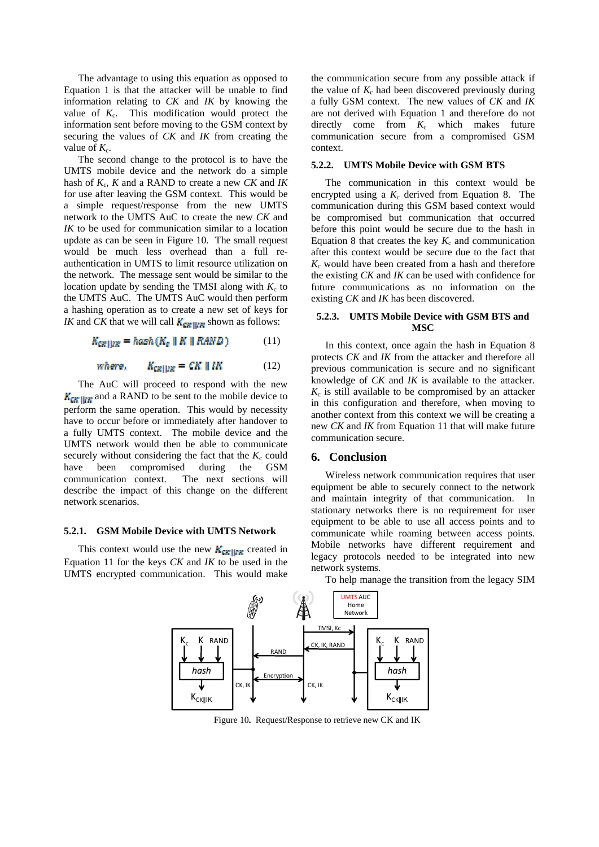The advantage to using this equation as opposed to Equation 1 is that the attacker will be unable to find information relating to *CK* and *IK* by knowing the value of  $K_c$ . This modification would protect the information sent before moving to the GSM context by securing the values of *CK* and *IK* from creating the value of  $K_c$ .

The second change to the protocol is to have the UMTS mobile device and the network do a simple hash of *K*c, *K* and a RAND to create a new *CK* and *IK* for use after leaving the GSM context. This would be a simple request/response from the new UMTS network to the UMTS AuC to create the new *CK* and *IK* to be used for communication similar to a location update as can be seen in Figure 10. The small request would be much less overhead than a full reauthentication in UMTS to limit resource utilization on the network. The message sent would be similar to the location update by sending the TMSI along with  $K_c$  to the UMTS AuC. The UMTS AuC would then perform a hashing operation as to create a new set of keys for *IK* and *CK* that we will call  $K_{\text{CKU/K}}$  shown as follows:

$$
K_{\text{CREIIZK}} = \text{hash}(K_e \parallel K \parallel RAND) \tag{11}
$$

$$
where, \qquad K_{\text{CRIUR}} = CK \parallel IK \tag{12}
$$

The AuC will proceed to respond with the new  $K_{\text{CR}}$  and a RAND to be sent to the mobile device to perform the same operation. This would by necessity have to occur before or immediately after handover to a fully UMTS context. The mobile device and the UMTS network would then be able to communicate securely without considering the fact that the  $K_c$  could have been compromised during the GSM communication context. The next sections will describe the impact of this change on the different network scenarios.

#### **5.2.1. GSM Mobile Device with UMTS Network**

This context would use the new  $K_{CR}$ <sub> $|_{LR}$ </sub> created in Equation 11 for the keys *CK* and *IK* to be used in the UMTS encrypted communication. This would make

the communication secure from any possible attack if the value of  $K_c$  had been discovered previously during a fully GSM context. The new values of *CK* and *IK* are not derived with Equation 1 and therefore do not directly come from  $K_c$  which makes future communication secure from a compromised GSM context.

#### **5.2.2. UMTS Mobile Device with GSM BTS**

The communication in this context would be encrypted using a  $K_c$  derived from Equation 8. The communication during this GSM based context would be compromised but communication that occurred before this point would be secure due to the hash in Equation 8 that creates the key  $K_c$  and communication after this context would be secure due to the fact that  $K_c$  would have been created from a hash and therefore the existing *CK* and *IK* can be used with confidence for future communications as no information on the existing *CK* and *IK* has been discovered.

### **5.2.3. UMTS Mobile Device with GSM BTS and MSC**

In this context, once again the hash in Equation 8 protects *CK* and *IK* from the attacker and therefore all previous communication is secure and no significant knowledge of *CK* and *IK* is available to the attacker.  $K_c$  is still available to be compromised by an attacker in this configuration and therefore, when moving to another context from this context we will be creating a new *CK* and *IK* from Equation 11 that will make future communication secure.

### **6. Conclusion**

Wireless network communication requires that user equipment be able to securely connect to the network and maintain integrity of that communication. In stationary networks there is no requirement for user equipment to be able to use all access points and to communicate while roaming between access points. Mobile networks have different requirement and legacy protocols needed to be integrated into new network systems.

To help manage the transition from the legacy SIM



Figure 10**.** Request/Response to retrieve new CK and IK